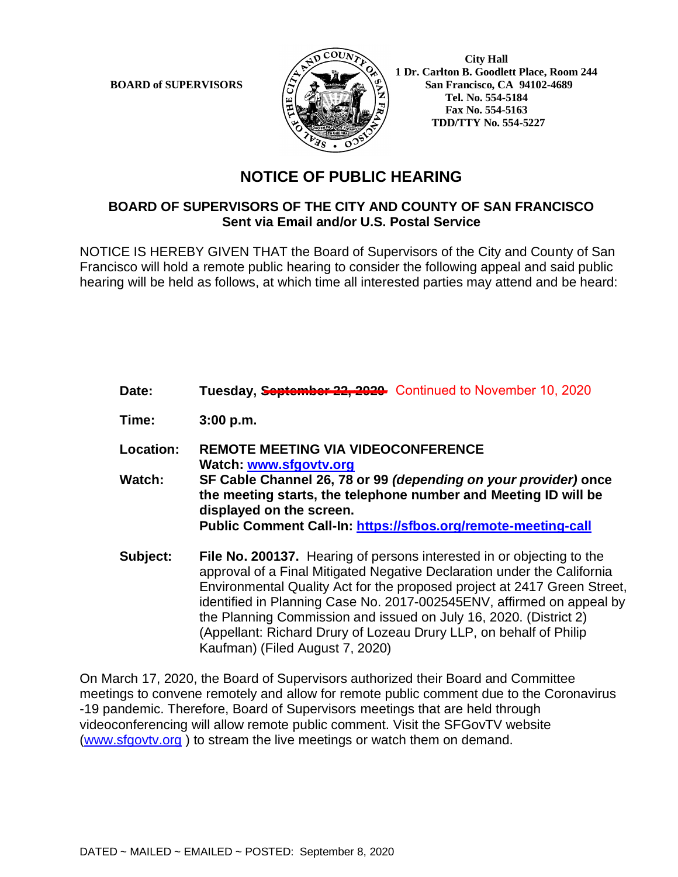

 **City Hall 1 Dr. Carlton B. Goodlett Place, Room 244 BOARD of SUPERVISORS**  $\left(\frac{S}{I}\right)$   $\oplus$   $\left(\frac{S}{I}\right)$  San Francisco, CA 94102-4689  **Tel. No. 554-5184 Fax No. 554-5163 TDD/TTY No. 554-5227**

## **NOTICE OF PUBLIC HEARING**

## **BOARD OF SUPERVISORS OF THE CITY AND COUNTY OF SAN FRANCISCO Sent via Email and/or U.S. Postal Service**

NOTICE IS HEREBY GIVEN THAT the Board of Supervisors of the City and County of San Francisco will hold a remote public hearing to consider the following appeal and said public hearing will be held as follows, at which time all interested parties may attend and be heard:

- Date: Tuesday, **September 22, 2029** Continued to November 10, 2020 **Time: 3:00 p.m. Location: REMOTE MEETING VIA VIDEOCONFERENCE Watch: www.sfgovtv.org Watch: SF Cable Channel 26, 78 or 99** *(depending on your provider)* **once the meeting starts, the telephone number and Meeting ID will be displayed on the screen. Public Comment Call-In: https://sfbos.org/remote-meeting-call Subject: File No. 200137.** Hearing of persons interested in or objecting to the approval of a Final Mitigated Negative Declaration under the California Environmental Quality Act for the proposed project at 2417 Green Street, identified in Planning Case No. 2017-002545ENV, affirmed on appeal by
	- the Planning Commission and issued on July 16, 2020. (District 2) (Appellant: Richard Drury of Lozeau Drury LLP, on behalf of Philip Kaufman) (Filed August 7, 2020)

On March 17, 2020, the Board of Supervisors authorized their Board and Committee meetings to convene remotely and allow for remote public comment due to the Coronavirus -19 pandemic. Therefore, Board of Supervisors meetings that are held through videoconferencing will allow remote public comment. Visit the SFGovTV website (www.sfgovtv.org ) to stream the live meetings or watch them on demand.